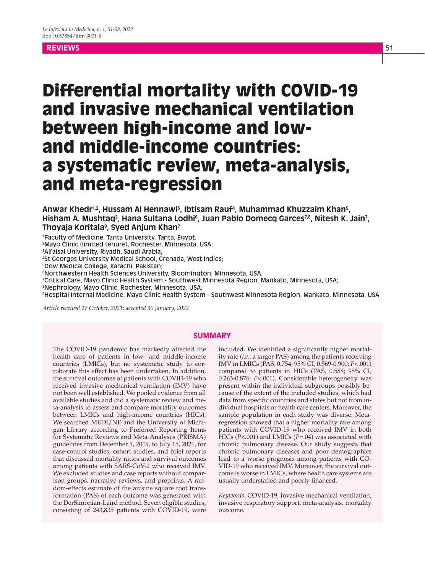# **REVIEWS** 51 - The contract of the contract of the contract of the contract of the contract of the contract of the

# Differential mortality with COVID-19 and invasive mechanical ventilation between high-income and lowand middle-income countries: a systematic review, meta-analysis, and meta-regression

Anwar Khedr<sup>1,2</sup>, Hussam Al Hennawi<sup>3</sup>, Ibtisam Rauf<sup>4</sup>, Muhammad Khuzzaim Khan<sup>5</sup>, Hisham A. Mushtaq², Hana Sultana Lodhi§, Juan Pablo Domecq Garces<sup>7,8</sup>, Nitesh K. Jain', **Thoyaja Koritala9 , Syed Anjum Khan7**

1 Faculty of Medicine, Tanta University, Tanta, Egypt;

2 Mayo Clinic (limited tenure), Rochester, Minnesota, USA;

3 Alfaisal University, Riyadh, Saudi Arabia;

4 St Georges University Medical School, Grenada, West Indies;

5 Dow Medical College, Karachi, Pakistan;

6 Northwestern Health Sciences University, Bloomington, Minnesota, USA;

7 Critical Care, Mayo Clinic Health System - Southwest Minnesota Region, Mankato, Minnesota, USA;

8 Nephrology, Mayo Clinic, Rochester, Minnesota, USA;

9 Hospital Internal Medicine, Mayo Clinic Health System - Southwest Minnesota Region, Mankato, Minnesota, USA

*Article received 27 October, 2021; accepted 30 January, 2022*

## **SUMMARY**

The COVID-19 pandemic has markedly affected the health care of patients in low- and middle-income countries (LMICs), but no systematic study to corroborate this effect has been undertaken. In addition, the survival outcomes of patients with COVID-19 who received invasive mechanical ventilation (IMV) have not been well established. We pooled evidence from all available studies and did a systematic review and meta-analysis to assess and compare mortality outcomes between LMICs and high-income countries (HICs). We searched MEDLINE and the University of Michigan Library according to Preferred Reporting Items for Systematic Reviews and Meta-Analyses (PRISMA) guidelines from December 1, 2019, to July 15, 2021, for case-control studies, cohort studies, and brief reports that discussed mortality ratios and survival outcomes among patients with SARS-CoV-2 who received IMV. We excluded studies and case reports without comparison groups, narrative reviews, and preprints. A random-effects estimate of the arcsine square root transformation (PAS) of each outcome was generated with the DerSimonian-Laird method. Seven eligible studies, consisting of 243,835 patients with COVID-19, were

included. We identified a significantly higher mortality rate (*i.e.*, a larger PAS) among the patients receiving IMV in LMICs (PAS, 0.754; 95% CI, 0.569-0.900; *P*<.001) compared to patients in HICs (PAS, 0.588; 95% CI, 0.263-0.876; *P*<.001). Considerable heterogeneity was present within the individual subgroups possibly because of the extent of the included studies, which had data from specific countries and states but not from individual hospitals or health care centers. Moreover, the sample population in each study was diverse. Metaregression showed that a higher mortality rate among patients with COVID-19 who received IMV in both HICs (*P*<.001) and LMICs (*P*=.04) was associated with chronic pulmonary disease. Our study suggests that chronic pulmonary diseases and poor demographics lead to a worse prognosis among patients with CO-VID-19 who received IMV. Moreover, the survival outcome is worse in LMICs, where health care systems are usually understaffed and poorly financed.

*Keywords*: COVID-19, invasive mechanical ventilation, invasive respiratory support, meta-analysis, mortality outcome.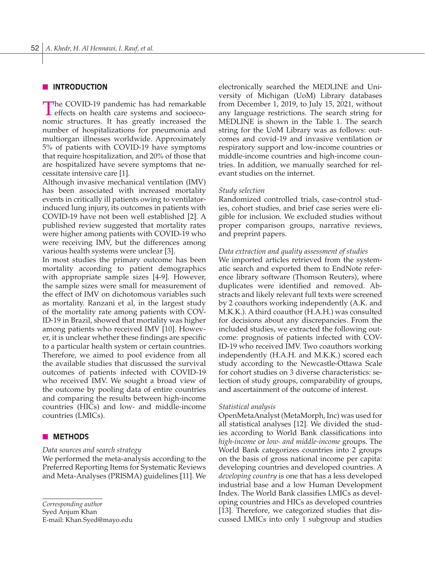# **NINTRODUCTION**

The COVID-19 pandemic has had remarkable effects on health care systems and socioeconomic structures. It has greatly increased the number of hospitalizations for pneumonia and multiorgan illnesses worldwide. Approximately 5% of patients with COVID-19 have symptoms that require hospitalization, and 20% of those that are hospitalized have severe symptoms that necessitate intensive care [1].

Although invasive mechanical ventilation (IMV) has been associated with increased mortality events in critically ill patients owing to ventilatorinduced lung injury, its outcomes in patients with COVID-19 have not been well established [2]. A published review suggested that mortality rates were higher among patients with COVID-19 who were receiving IMV, but the differences among various health systems were unclear [3].

In most studies the primary outcome has been mortality according to patient demographics with appropriate sample sizes [4-9]. However, the sample sizes were small for measurement of the effect of IMV on dichotomous variables such as mortality. Ranzani et al, in the largest study of the mortality rate among patients with COV-ID-19 in Brazil, showed that mortality was higher among patients who received IMV [10]. However, it is unclear whether these findings are specific to a particular health system or certain countries. Therefore, we aimed to pool evidence from all the available studies that discussed the survival outcomes of patients infected with COVID-19 who received IMV. We sought a broad view of the outcome by pooling data of entire countries and comparing the results between high-income countries (HICs) and low- and middle-income countries (LMICs).

## **NETHODS**

#### *Data sources and search strategy*

We performed the meta-analysis according to the Preferred Reporting Items for Systematic Reviews and Meta-Analyses (PRISMA) guidelines [11]. We

*Corresponding author*

Syed Anjum Khan

E-mail: Khan.Syed@mayo.edu

electronically searched the MEDLINE and University of Michigan (UoM) Library databases from December 1, 2019, to July 15, 2021, without any language restrictions. The search string for MEDLINE is shown in the Table 1. The search string for the UoM Library was as follows: outcomes and covid-19 and invasive ventilation or respiratory support and low-income countries or middle-income countries and high-income countries. In addition, we manually searched for relevant studies on the internet.

#### *Study selection*

Randomized controlled trials, case-control studies, cohort studies, and brief case series were eligible for inclusion. We excluded studies without proper comparison groups, narrative reviews, and preprint papers.

#### *Data extraction and quality assessment of studies*

We imported articles retrieved from the systematic search and exported them to EndNote reference library software (Thomson Reuters), where duplicates were identified and removed. Abstracts and likely relevant full texts were screened by 2 coauthors working independently (A.K. and M.K.K.). A third coauthor (H.A.H.) was consulted for decisions about any discrepancies. From the included studies, we extracted the following outcome: prognosis of patients infected with COV-ID-19 who received IMV. Two coauthors working independently (H.A.H. and M.K.K.) scored each study according to the Newcastle-Ottawa Scale for cohort studies on 3 diverse characteristics: selection of study groups, comparability of groups, and ascertainment of the outcome of interest.

#### *Statistical analysis*

OpenMetaAnalyst (MetaMorph, Inc) was used for all statistical analyses [12]. We divided the studies according to World Bank classifications into *high-income* or *low- and middle-income* groups. The World Bank categorizes countries into 2 groups on the basis of gross national income per capita: developing countries and developed countries. A *developing country* is one that has a less developed industrial base and a low Human Development Index. The World Bank classifies LMICs as developing countries and HICs as developed countries [13]. Therefore, we categorized studies that discussed LMICs into only 1 subgroup and studies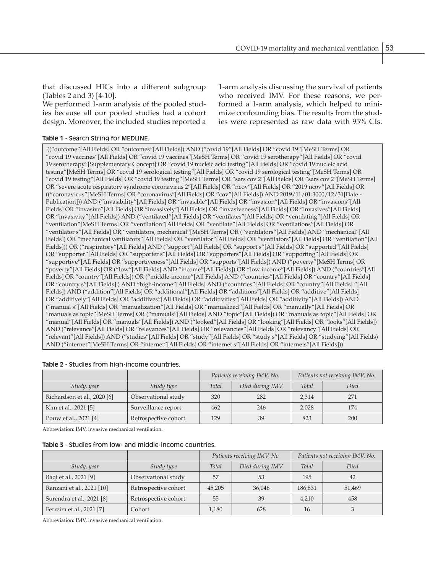that discussed HICs into a different subgroup (Tables 2 and 3) [4-10].

We performed 1-arm analysis of the pooled studies because all our pooled studies had a cohort design. Moreover, the included studies reported a

## **Table 1** - Search String for MEDLINE.

1-arm analysis discussing the survival of patients who received IMV. For these reasons, we performed a 1-arm analysis, which helped to minimize confounding bias. The results from the studies were represented as raw data with 95% CIs.

 (("outcome"[All Fields] OR "outcomes"[All Fields]) AND ("covid 19"[All Fields] OR "covid 19"[MeSH Terms] OR "covid 19 vaccines"[All Fields] OR "covid 19 vaccines"[MeSH Terms] OR "covid 19 serotherapy"[All Fields] OR "covid 19 serotherapy"[Supplementary Concept] OR "covid 19 nucleic acid testing"[All Fields] OR "covid 19 nucleic acid testing"[MeSH Terms] OR "covid 19 serological testing"[All Fields] OR "covid 19 serological testing"[MeSH Terms] OR "covid 19 testing"[All Fields] OR "covid 19 testing"[MeSH Terms] OR "sars cov 2"[All Fields] OR "sars cov 2"[MeSH Terms] OR "severe acute respiratory syndrome coronavirus 2"[All Fields] OR "ncov"[All Fields] OR "2019 ncov"[All Fields] OR (("coronavirus"[MeSH Terms] OR "coronavirus"[All Fields] OR "cov"[All Fields]) AND 2019/11/01:3000/12/31[Date - Publication])) AND ("invasibility"[All Fields] OR "invasible"[All Fields] OR "invasion"[All Fields] OR "invasions"[All Fields] OR "invasive"[All Fields] OR "invasively"[All Fields] OR "invasiveness"[All Fields] OR "invasives"[All Fields] OR "invasivity"[All Fields]) AND ("ventilated"[All Fields] OR "ventilates"[All Fields] OR "ventilating"[All Fields] OR "ventilation"[MeSH Terms] OR "ventilation"[All Fields] OR "ventilate"[All Fields] OR "ventilations"[All Fields] OR "ventilator s"[All Fields] OR "ventilators, mechanical"[MeSH Terms] OR ("ventilators"[All Fields] AND "mechanical"[All Fields]) OR "mechanical ventilators"[All Fields] OR "ventilator"[All Fields] OR "ventilators"[All Fields] OR "ventilation"[All Fields])) OR ("respiratory"[All Fields] AND ("support"[All Fields] OR "support s"[All Fields] OR "supported"[All Fields] OR "supporter"[All Fields] OR "supporter s"[All Fields] OR "supporters"[All Fields] OR "supporting"[All Fields] OR "supportive"[All Fields] OR "supportiveness"[All Fields] OR "supports"[All Fields]) AND ("poverty"[MeSH Terms] OR "poverty"[All Fields] OR ("low"[All Fields] AND "income"[All Fields]) OR "low income"[All Fields]) AND ("countries"[All Fields] OR "country"[All Fields]) OR ("middle-income"[All Fields] AND ("countries"[All Fields] OR "country"[All Fields] OR "country s"[All Fields] ) AND "high-income"[All Fields] AND ("countries"[All Fields] OR "country"[All Fields] "[All Fields]) AND ("addition"[All Fields] OR "additional"[All Fields] OR "additions"[All Fields] OR "additive"[All Fields] OR "additively"[All Fields] OR "additives"[All Fields] OR "additivities"[All Fields] OR "additivity"[All Fields]) AND ("manual s"[All Fields] OR "manualization"[All Fields] OR "manualized"[All Fields] OR "manually"[All Fields] OR "manuals as topic"[MeSH Terms] OR ("manuals"[All Fields] AND "topic"[All Fields]) OR "manuals as topic"[All Fields] OR "manual"[All Fields] OR "manuals"[All Fields]) AND ("looked"[All Fields] OR "looking"[All Fields] OR "looks"[All Fields]) AND ("relevance"[All Fields] OR "relevances"[All Fields] OR "relevancies"[All Fields] OR "relevancy"[All Fields] OR "relevant"[All Fields]) AND ("studies"[All Fields] OR "study"[All Fields] OR "study s"[All Fields] OR "studying"[All Fields) AND ("internet"[MeSH Terms] OR "internet"[All Fields] OR "internet s"[All Fields] OR "internets"[All Fields]))

|                             |                      | Patients receiving IMV, No. |                 | Patients not receiving IMV, No. |      |
|-----------------------------|----------------------|-----------------------------|-----------------|---------------------------------|------|
| Study, year                 | Study type           | Total                       | Died during IMV | <b>Total</b>                    | Died |
| Richardson et al., 2020 [6] | Observational study  | 320                         | 282             | 2,314                           | 271  |
| Kim et al., 2021 [5]        | Surveillance report  | 462                         | 246             | 2,028                           | 174  |
| Pouw et al., 2021 [4]       | Retrospective cohort | 129                         | 39              | 823                             | 200  |

**Table 2** - Studies from high-income countries.

Abbreviation: IMV, invasive mechanical ventilation.

| <b>Table 3</b> - Studies from low- and middle-income countries. |  |
|-----------------------------------------------------------------|--|
|-----------------------------------------------------------------|--|

|                           |                      | Patients receiving IMV, No |                 | Patients not receiving IMV, No. |        |
|---------------------------|----------------------|----------------------------|-----------------|---------------------------------|--------|
| Study, year               | Study type           | <b>Total</b>               | Died during IMV | Total                           | Died   |
| Baqi et al., 2021 [9]     | Observational study  | 57                         | 53              | 195                             | 42     |
| Ranzani et al., 2021 [10] | Retrospective cohort | 45,205                     | 36,046          | 186,831                         | 51,469 |
| Surendra et al., 2021 [8] | Retrospective cohort | 55                         | 39              | 4,210                           | 458    |
| Ferreira et al., 2021 [7] | Cohort               | 1,180                      | 628             | 16                              |        |

Abbreviation: IMV, invasive mechanical ventilation.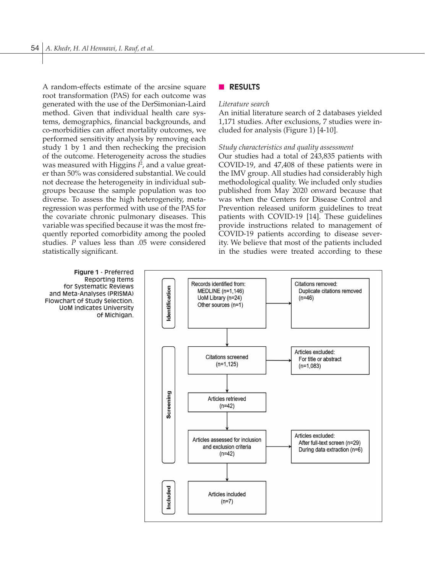A random-effects estimate of the arcsine square root transformation (PAS) for each outcome was generated with the use of the DerSimonian-Laird method. Given that individual health care systems, demographics, financial backgrounds, and co-morbidities can affect mortality outcomes, we performed sensitivity analysis by removing each study 1 by 1 and then rechecking the precision of the outcome. Heterogeneity across the studies was measured with Higgins *I* 2 , and a value greater than 50% was considered substantial. We could not decrease the heterogeneity in individual subgroups because the sample population was too diverse. To assess the high heterogeneity, metaregression was performed with use of the PAS for the covariate chronic pulmonary diseases. This variable was specified because it was the most frequently reported comorbidity among the pooled studies. *P* values less than .05 were considered statistically significant.

## **n RESULTS**

#### *Literature search*

An initial literature search of 2 databases yielded 1,171 studies. After exclusions, 7 studies were included for analysis (Figure 1) [4-10].

## *Study characteristics and quality assessment*

Our studies had a total of 243,835 patients with COVID-19, and 47,408 of these patients were in the IMV group. All studies had considerably high methodological quality. We included only studies published from May 2020 onward because that was when the Centers for Disease Control and Prevention released uniform guidelines to treat patients with COVID-19 [14]. These guidelines provide instructions related to management of COVID-19 patients according to disease severity. We believe that most of the patients included in the studies were treated according to these



for Systematic Reviews and Meta-Analyses (PRISMA) Flowchart of Study Selection. UoM indicates University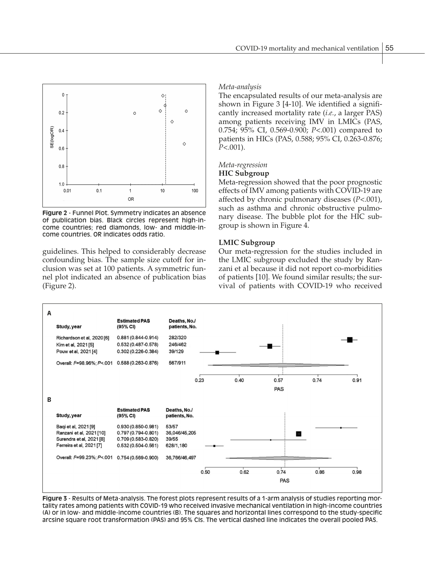

**Figure 2** - Funnel Plot. Symmetry indicates an absence of publication bias. Black circles represent high-income countries; red diamonds, low- and middle-income countries. OR indicates odds ratio.

guidelines. This helped to considerably decrease confounding bias. The sample size cutoff for inclusion was set at 100 patients. A symmetric funnel plot indicated an absence of publication bias (Figure 2).

## *Meta-analysis*

The encapsulated results of our meta-analysis are shown in Figure 3 [4-10]. We identified a significantly increased mortality rate (*i.e.*, a larger PAS) among patients receiving IMV in LMICs (PAS, 0.754; 95% CI, 0.569-0.900; *P*<.001) compared to patients in HICs (PAS, 0.588; 95% CI, 0.263-0.876; *P*<.001).

# *Meta-regression*

#### **HIC Subgroup**

Meta-regression showed that the poor prognostic effects of IMV among patients with COVID-19 are affected by chronic pulmonary diseases (*P*<.001), such as asthma and chronic obstructive pulmonary disease. The bubble plot for the HIC subgroup is shown in Figure 4.

## **LMIC Subgroup**

Our meta-regression for the studies included in the LMIC subgroup excluded the study by Ranzani et al because it did not report co-morbidities of patients [10]. We found similar results; the survival of patients with COVID-19 who received



**Figure 3** - Results of Meta-analysis. The forest plots represent results of a 1-arm analysis of studies reporting mortality rates among patients with COVID-19 who received invasive mechanical ventilation in high-income countries (A) or in low- and middle-income countries (B). The squares and horizontal lines correspond to the study-specific arcsine square root transformation (PAS) and 95% CIs. The vertical dashed line indicates the overall pooled PAS.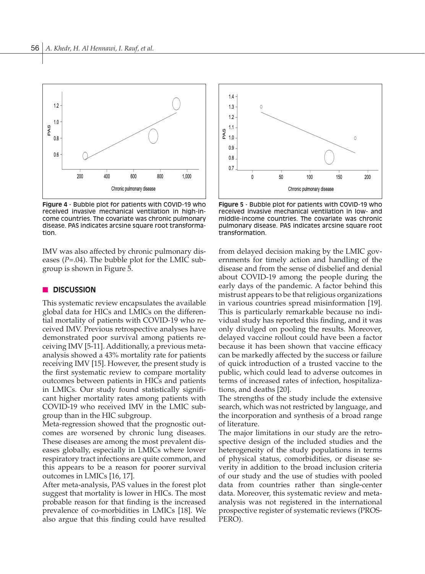

**Figure 4** - Bubble plot for patients with COVID-19 who received invasive mechanical ventilation in high-income countries. The covariate was chronic pulmonary disease. PAS indicates arcsine square root transformation.

IMV was also affected by chronic pulmonary diseases (*P*=.04). The bubble plot for the LMIC subgroup is shown in Figure 5.

# **n** DISCUSSION

This systematic review encapsulates the available global data for HICs and LMICs on the differential mortality of patients with COVID-19 who received IMV. Previous retrospective analyses have demonstrated poor survival among patients receiving IMV [5-11]. Additionally, a previous metaanalysis showed a 43% mortality rate for patients receiving IMV [15]. However, the present study is the first systematic review to compare mortality outcomes between patients in HICs and patients in LMICs. Our study found statistically significant higher mortality rates among patients with COVID-19 who received IMV in the LMIC subgroup than in the HIC subgroup.

Meta-regression showed that the prognostic outcomes are worsened by chronic lung diseases. These diseases are among the most prevalent diseases globally, especially in LMICs where lower respiratory tract infections are quite common, and this appears to be a reason for poorer survival outcomes in LMICs [16, 17].

After meta-analysis, PAS values in the forest plot suggest that mortality is lower in HICs. The most probable reason for that finding is the increased prevalence of co-morbidities in LMICs [18]. We also argue that this finding could have resulted



**Figure 5** - Bubble plot for patients with COVID-19 who received invasive mechanical ventilation in low- and middle-income countries. The covariate was chronic pulmonary disease. PAS indicates arcsine square root transformation.

from delayed decision making by the LMIC governments for timely action and handling of the disease and from the sense of disbelief and denial about COVID-19 among the people during the early days of the pandemic. A factor behind this mistrust appears to be that religious organizations in various countries spread misinformation [19]. This is particularly remarkable because no individual study has reported this finding, and it was only divulged on pooling the results. Moreover, delayed vaccine rollout could have been a factor because it has been shown that vaccine efficacy can be markedly affected by the success or failure of quick introduction of a trusted vaccine to the public, which could lead to adverse outcomes in terms of increased rates of infection, hospitalizations, and deaths [20].

The strengths of the study include the extensive search, which was not restricted by language, and the incorporation and synthesis of a broad range of literature.

The major limitations in our study are the retrospective design of the included studies and the heterogeneity of the study populations in terms of physical status, comorbidities, or disease severity in addition to the broad inclusion criteria of our study and the use of studies with pooled data from countries rather than single-center data. Moreover, this systematic review and metaanalysis was not registered in the international prospective register of systematic reviews (PROS-PERO).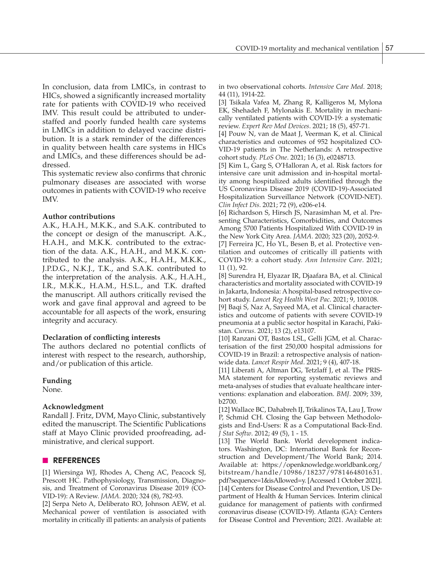In conclusion, data from LMICs, in contrast to HICs, showed a significantly increased mortality rate for patients with COVID-19 who received IMV. This result could be attributed to understaffed and poorly funded health care systems in LMICs in addition to delayed vaccine distribution. It is a stark reminder of the differences in quality between health care systems in HICs and LMICs, and these differences should be addressed.

This systematic review also confirms that chronic pulmonary diseases are associated with worse outcomes in patients with COVID-19 who receive IMV.

# **Author contributions**

A.K., H.A.H., M.K.K., and S.A.K. contributed to the concept or design of the manuscript. A.K., H.A.H., and M.K.K. contributed to the extraction of the data. A.K., H.A.H., and M.K.K. contributed to the analysis. A.K., H.A.H., M.K.K., J.P.D.G., N.K.J., T.K., and S.A.K. contributed to the interpretation of the analysis. A.K., H.A.H., I.R., M.K.K., H.A.M., H.S.L., and T.K. drafted the manuscript. All authors critically revised the work and gave final approval and agreed to be accountable for all aspects of the work, ensuring integrity and accuracy.

#### **Declaration of conflicting interests**

The authors declared no potential conflicts of interest with respect to the research, authorship, and/or publication of this article.

# **Funding**

None.

# **Acknowledgment**

Randall J. Fritz, DVM, Mayo Clinic, substantively edited the manuscript. The Scientific Publications staff at Mayo Clinic provided proofreading, administrative, and clerical support.

# n **REFERENCES**

[1] Wiersinga WJ, Rhodes A, Cheng AC, Peacock SJ, Prescott HC. Pathophysiology, Transmission, Diagnosis, and Treatment of Coronavirus Disease 2019 (CO-VID-19): A Review. *JAMA*. 2020; 324 (8), 782-93.

[2] Serpa Neto A, Deliberato RO, Johnson AEW, et al. Mechanical power of ventilation is associated with mortality in critically ill patients: an analysis of patients in two observational cohorts. *Intensive Care Med*. 2018; 44 (11), 1914-22.

[3] Tsikala Vafea M, Zhang R, Kalligeros M, Mylona EK, Shehadeh F, Mylonakis E. Mortality in mechanically ventilated patients with COVID-19: a systematic review. *Expert Rev Med Devices*. 2021; 18 (5), 457-71.

[4] Pouw N, van de Maat J, Veerman K, et al. Clinical characteristics and outcomes of 952 hospitalized CO-VID-19 patients in The Netherlands: A retrospective cohort study. *PLoS One*. 2021; 16 (3), e0248713.

[5] Kim L, Garg S, O'Halloran A, et al. Risk factors for intensive care unit admission and in-hospital mortality among hospitalized adults identified through the US Coronavirus Disease 2019 (COVID-19)-Associated Hospitalization Surveillance Network (COVID-NET). *Clin Infect Dis*. 2021; 72 (9), e206-e14.

[6] Richardson S, Hirsch JS, Narasimhan M, et al. Presenting Characteristics, Comorbidities, and Outcomes Among 5700 Patients Hospitalized With COVID-19 in the New York City Area. *JAMA*. 2020; 323 (20), 2052-9. [7] Ferreira JC, Ho YL, Besen B, et al. Protective ventilation and outcomes of critically ill patients with COVID-19: a cohort study. *Ann Intensive Care*. 2021; 11 (1), 92.

[8] Surendra H, Elyazar IR, Djaafara BA, et al. Clinical characteristics and mortality associated with COVID-19 in Jakarta, Indonesia: A hospital-based retrospective cohort study. *Lancet Reg Health West Pac*. 2021; 9, 100108.

[9] Baqi S, Naz A, Sayeed MA, et al. Clinical characteristics and outcome of patients with severe COVID-19 pneumonia at a public sector hospital in Karachi, Pakistan. *Cureus*. 2021; 13 (2), e13107.

[10] Ranzani OT, Bastos LSL, Gelli JGM, et al. Characterisation of the first 250,000 hospital admissions for COVID-19 in Brazil: a retrospective analysis of nationwide data. *Lancet Respir Med*. 2021; 9 (4), 407-18.

[11] Liberati A, Altman DG, Tetzlaff J, et al. The PRIS-MA statement for reporting systematic reviews and meta-analyses of studies that evaluate healthcare interventions: explanation and elaboration. *BMJ*. 2009; 339, b2700.

[12] Wallace BC, Dahabreh IJ, Trikalinos TA, Lau J, Trow P, Schmid CH. Closing the Gap between Methodologists and End-Users: R as a Computational Back-End. *J Stat Softw*. 2012; 49 (5), 1 - 15.

[13] The World Bank. World development indicators. Washington, DC: International Bank for Reconstruction and Development/The World Bank; 2014. Available at: https://openknowledge.worldbank.org/ bitstream/handle/10986/18237/9781464801631. pdf?sequence=1&isAllowed=y. [Accessed 1 October 2021]. [14] Centers for Disease Control and Prevention, US Department of Health & Human Services. Interim clinical guidance for management of patients with confirmed coronavirus disease (COVID-19). Atlanta (GA): Centers for Disease Control and Prevention; 2021. Available at: